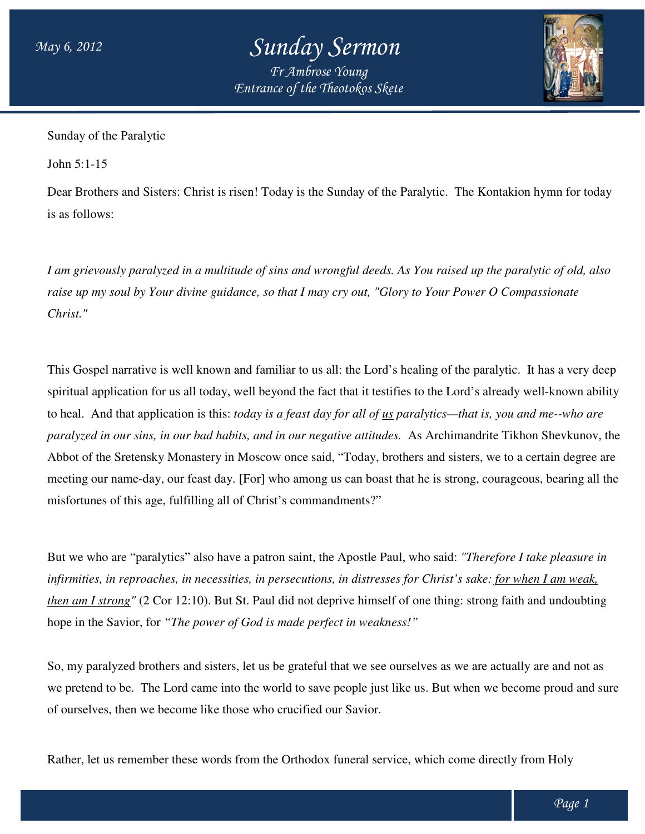## *Sunday Sermon*

*Entrance of the Theotokos Skete Fr Ambrose Young*



Sunday of the Paralytic

John 5:1-15

Dear Brothers and Sisters: Christ is risen! Today is the Sunday of the Paralytic. The Kontakion hymn for today is as follows:

I am grievously paralyzed in a multitude of sins and wrongful deeds. As You raised up the paralytic of old, also<br>raise up my soul by Your divine guidance, so that I may cry out, "Glory to Your Power O Compassionate *raise up my soul by Your divine guidance, so that I may cry out, "Glory to Your Power O Compassionate Christ."*

This Gospel narrative is well known and familiar to us all: the Lord's healing of the paralytic. It has a very deep spiritual application for us all today, well beyond the fact that it testifies to the Lord's already well-known ability to heal. And that application is this: *today is a feast day for all of <u>us</u> paralytics—that is, you and me--who are* paralyzed in our sins, in our bad habits, and in our negative attitudes. As Archimandrite Tikhon Shevkunov, the Abbot of the Sretensky Monastery in Moscow once said, "Today, brothers and si sisters, we to a certain degree are Abbot of the Sretensky Monastery in Moscow once said, "Today, brothers and sisters, we to a certain degree are<br>meeting our name-day, our feast day. [For] who among us can boast that he is strong, courageous, bearing all th misfortunes of this age, fulfilling all of Christ's commandments?" meeting our name-day, our feast day. [For] who among us can boast that he is strong, courageous, bearing all th<br>misfortunes of this age, fulfilling all of Christ's commandments?"<br>But we who are "paralytics" also have a pat

infirmities, in reproaches, in necessities, in persecutions, in distresses for Christ's sake: <u>for when I am weak,</u> then am I strong" (2 Cor 12:10). But St. Paul did not deprive himself of one thing: strong faith and undoubting hope in the Savior, for *"The power of God is made perfect in weakness!" is made* 

So, my paralyzed brothers and sisters, let us be grateful that we see ourselves as we are actually are and not as we pretend to be. The Lord came into the world to save people just like us. But when we become proud and sure of ourselves, then we become like those who crucified our Savior. and sisters, let us be grateful that we see ourselves as we are actually are and r<br>d came into the world to save people just like us. But when we become proud<br>me like those who crucified our Savior.<br>ese words from the Orth

Rather, let us remember these words from the Orthodox funeral service, which come directly from Holy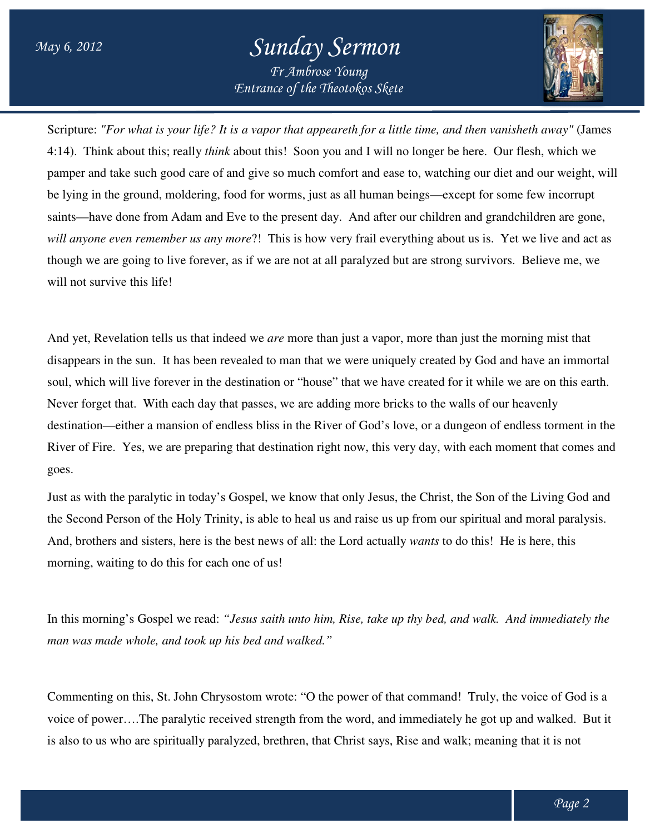## *Entrance of the Theotokos Skete Sunday Sermon Fr Ambrose Young*



Scripture: "For what is your life? It is a vapor that appeareth for a little time, and then vanisheth away" (James 4:14). Think about this; really *think* about this! Soon you and I will no longer be here. Our flesh, which we pamper and take such good care of and give so much comfort and ease to, watching our diet and our weight, will be lying in the ground, moldering, food for worms, just as all human beings—except for some few incorrupt saints—have done from Adam and Eve to the present day. And after our children and grandchildren are gone, be lying in the ground, moldering, food for worms, just as all human beings—except for some few incorrupt<br>saints—have done from Adam and Eve to the present day. And after our children and grandchildren are gone,<br>will anyon though we are going to live forever, as if we are not at all paralyzed but are strong survivors. Believe me, we will not survive this life!

And yet, Revelation tells us that indeed we are more than just a vapor, more than just the morning mist that disappears in the sun. It has been revealed to man that we were uniquely created by God and have an immortal soul, which will live forever in the destination or "house" that we have created for it while we are on this earth. Never forget that. With each day that passes, we are adding more bricks to the walls of our heavenly destination—either a mansion of endless bliss in the River of God's love, or a dungeon of endless torment in th<br>River of Fire. Yes, we are preparing that destination right now, this very day, with each moment that comes an River of Fire. Yes, we are preparing that destination right now, this very day, with each moment that comes and goes. River of Fire. Yes, we are preparing that destination right now, this very day, with each moment that comes and<br>goes.<br>Just as with the paralytic in today's Gospel, we know that only Jesus, the Christ, the Son of the Living sappears in the sun. It has been revealed to man that we were uniquely created by God and have an immortal<br>ul, which will live forever in the destination or "house" that we have created for it while we are on this earth.<br>e more than just a vapor, more than just the morning mist that<br>nan that we were uniquely created by God and have an immortal<br>pr "house" that we have created for it while we are on this earth.

the Second Person of the Holy Trinity, is able to heal us and raise us up from our spiritual and moral paralysis. the Second Person of the Holy Trinity, is able to heal us and raise us up from our spiritual and moral para<br>And, brothers and sisters, here is the best news of all: the Lord actually *wants* to do this! He is here, this morning, waiting to do this for each one of us!

In this morning's Gospel we read: "Jesus saith unto him, Rise, take up thy bed, and walk. And immediately the *man was made whole, and took up his bed and walked."* one of us!<br>Jesus saith unto him, Rise, take up thy bed, and walk. And immediately the<br>is bed and walked."<br>ostom wrote: "O the power of that command! Truly, the voice of God is a

Commenting on this, St. John Chrysostom wrote: "O the power of that command! Truly, the voice of God is a voice of power....The paralytic received strength from the word, and immediately he got up and walked. But it is also to us who are spiritually paralyzed, brethren, that Christ says, Rise and walk; meaning that it is not